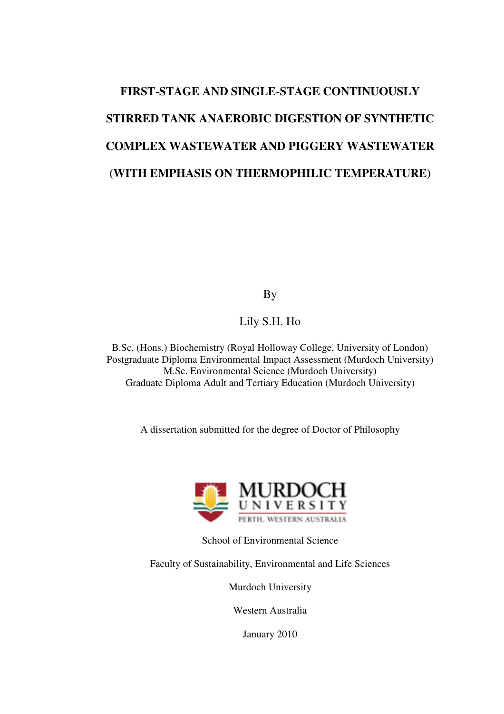# **FIRST-STAGE AND SINGLE-STAGE CONTINUOUSLY STIRRED TANK ANAEROBIC DIGESTION OF SYNTHETIC COMPLEX WASTEWATER AND PIGGERY WASTEWATER (WITH EMPHASIS ON THERMOPHILIC TEMPERATURE)**

By

#### Lily S.H. Ho

B.Sc. (Hons.) Biochemistry (Royal Holloway College, University of London) Postgraduate Diploma Environmental Impact Assessment (Murdoch University) M.Sc. Environmental Science (Murdoch University) Graduate Diploma Adult and Tertiary Education (Murdoch University)

A dissertation submitted for the degree of Doctor of Philosophy



School of Environmental Science

Faculty of Sustainability, Environmental and Life Sciences

Murdoch University

Western Australia

January 2010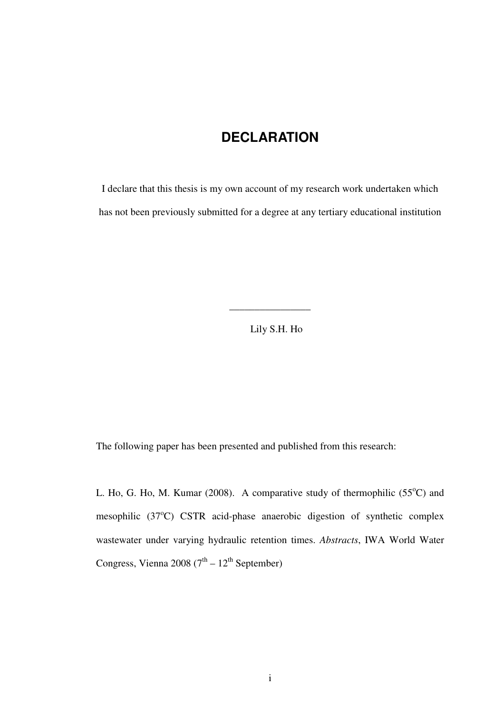# **DECLARATION**

I declare that this thesis is my own account of my research work undertaken which has not been previously submitted for a degree at any tertiary educational institution

Lily S.H. Ho

\_\_\_\_\_\_\_\_\_\_\_\_\_\_\_\_

The following paper has been presented and published from this research:

L. Ho, G. Ho, M. Kumar (2008). A comparative study of thermophilic  $(55^{\circ}C)$  and mesophilic  $(37^{\circ}C)$  CSTR acid-phase anaerobic digestion of synthetic complex wastewater under varying hydraulic retention times. *Abstracts*, IWA World Water Congress, Vienna 2008 ( $7<sup>th</sup> - 12<sup>th</sup>$  September)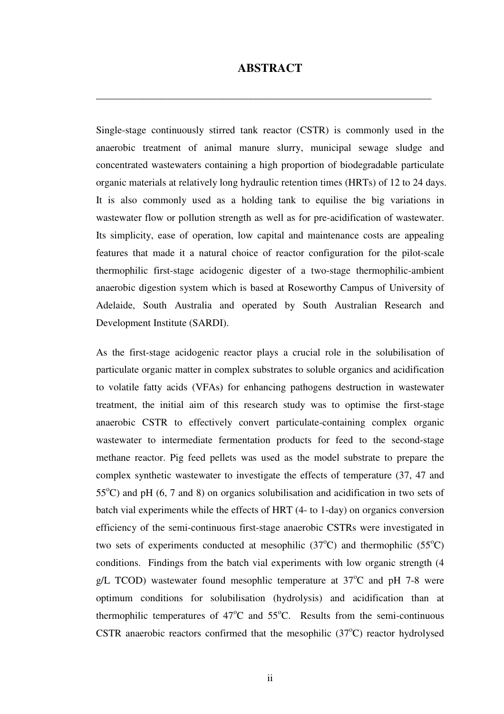#### **ABSTRACT**

**\_\_\_\_\_\_\_\_\_\_\_\_\_\_\_\_\_\_\_\_\_\_\_\_\_\_\_\_\_\_\_\_\_\_\_\_\_\_\_\_\_\_\_\_\_\_\_\_\_\_\_\_\_\_\_\_\_\_\_\_\_\_\_\_\_\_** 

Single-stage continuously stirred tank reactor (CSTR) is commonly used in the anaerobic treatment of animal manure slurry, municipal sewage sludge and concentrated wastewaters containing a high proportion of biodegradable particulate organic materials at relatively long hydraulic retention times (HRTs) of 12 to 24 days. It is also commonly used as a holding tank to equilise the big variations in wastewater flow or pollution strength as well as for pre-acidification of wastewater. Its simplicity, ease of operation, low capital and maintenance costs are appealing features that made it a natural choice of reactor configuration for the pilot-scale thermophilic first-stage acidogenic digester of a two-stage thermophilic-ambient anaerobic digestion system which is based at Roseworthy Campus of University of Adelaide, South Australia and operated by South Australian Research and Development Institute (SARDI).

As the first-stage acidogenic reactor plays a crucial role in the solubilisation of particulate organic matter in complex substrates to soluble organics and acidification to volatile fatty acids (VFAs) for enhancing pathogens destruction in wastewater treatment, the initial aim of this research study was to optimise the first-stage anaerobic CSTR to effectively convert particulate-containing complex organic wastewater to intermediate fermentation products for feed to the second-stage methane reactor. Pig feed pellets was used as the model substrate to prepare the complex synthetic wastewater to investigate the effects of temperature (37, 47 and  $55^{\circ}$ C) and pH (6, 7 and 8) on organics solubilisation and acidification in two sets of batch vial experiments while the effects of HRT (4- to 1-day) on organics conversion efficiency of the semi-continuous first-stage anaerobic CSTRs were investigated in two sets of experiments conducted at mesophilic  $(37^{\circ}C)$  and thermophilic  $(55^{\circ}C)$ conditions. Findings from the batch vial experiments with low organic strength (4 g/L TCOD) wastewater found mesophlic temperature at  $37^{\circ}$ C and pH 7-8 were optimum conditions for solubilisation (hydrolysis) and acidification than at thermophilic temperatures of  $47^{\circ}$ C and  $55^{\circ}$ C. Results from the semi-continuous CSTR anaerobic reactors confirmed that the mesophilic  $(37^{\circ}C)$  reactor hydrolysed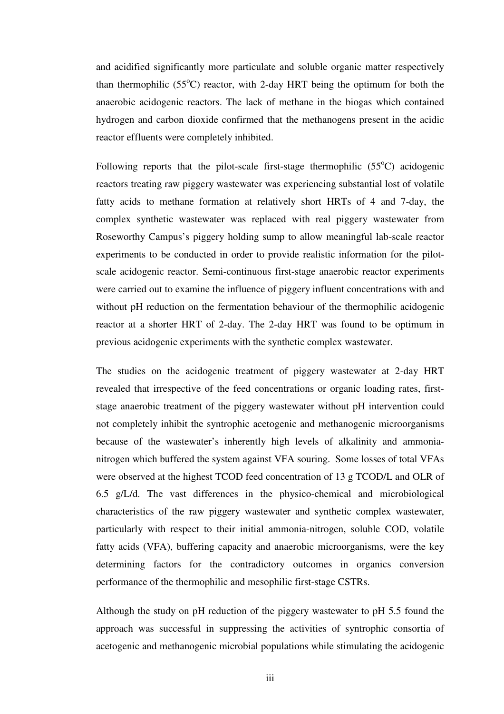and acidified significantly more particulate and soluble organic matter respectively than thermophilic ( $55^{\circ}$ C) reactor, with 2-day HRT being the optimum for both the anaerobic acidogenic reactors. The lack of methane in the biogas which contained hydrogen and carbon dioxide confirmed that the methanogens present in the acidic reactor effluents were completely inhibited.

Following reports that the pilot-scale first-stage thermophilic  $(55^{\circ}C)$  acidogenic reactors treating raw piggery wastewater was experiencing substantial lost of volatile fatty acids to methane formation at relatively short HRTs of 4 and 7-day, the complex synthetic wastewater was replaced with real piggery wastewater from Roseworthy Campus's piggery holding sump to allow meaningful lab-scale reactor experiments to be conducted in order to provide realistic information for the pilotscale acidogenic reactor. Semi-continuous first-stage anaerobic reactor experiments were carried out to examine the influence of piggery influent concentrations with and without pH reduction on the fermentation behaviour of the thermophilic acidogenic reactor at a shorter HRT of 2-day. The 2-day HRT was found to be optimum in previous acidogenic experiments with the synthetic complex wastewater.

The studies on the acidogenic treatment of piggery wastewater at 2-day HRT revealed that irrespective of the feed concentrations or organic loading rates, firststage anaerobic treatment of the piggery wastewater without pH intervention could not completely inhibit the syntrophic acetogenic and methanogenic microorganisms because of the wastewater's inherently high levels of alkalinity and ammonianitrogen which buffered the system against VFA souring. Some losses of total VFAs were observed at the highest TCOD feed concentration of 13 g TCOD/L and OLR of 6.5 g/L/d. The vast differences in the physico-chemical and microbiological characteristics of the raw piggery wastewater and synthetic complex wastewater, particularly with respect to their initial ammonia-nitrogen, soluble COD, volatile fatty acids (VFA), buffering capacity and anaerobic microorganisms, were the key determining factors for the contradictory outcomes in organics conversion performance of the thermophilic and mesophilic first-stage CSTRs.

Although the study on pH reduction of the piggery wastewater to pH 5.5 found the approach was successful in suppressing the activities of syntrophic consortia of acetogenic and methanogenic microbial populations while stimulating the acidogenic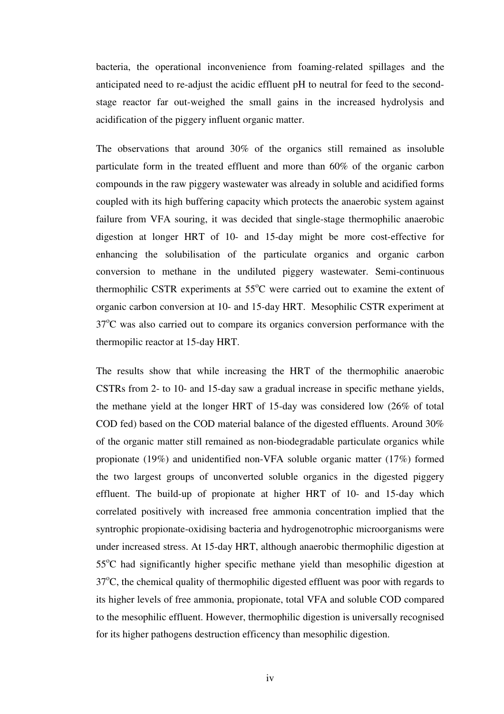bacteria, the operational inconvenience from foaming-related spillages and the anticipated need to re-adjust the acidic effluent pH to neutral for feed to the secondstage reactor far out-weighed the small gains in the increased hydrolysis and acidification of the piggery influent organic matter.

The observations that around 30% of the organics still remained as insoluble particulate form in the treated effluent and more than 60% of the organic carbon compounds in the raw piggery wastewater was already in soluble and acidified forms coupled with its high buffering capacity which protects the anaerobic system against failure from VFA souring, it was decided that single-stage thermophilic anaerobic digestion at longer HRT of 10- and 15-day might be more cost-effective for enhancing the solubilisation of the particulate organics and organic carbon conversion to methane in the undiluted piggery wastewater. Semi-continuous thermophilic CSTR experiments at  $55^{\circ}$ C were carried out to examine the extent of organic carbon conversion at 10- and 15-day HRT. Mesophilic CSTR experiment at  $37^{\circ}$ C was also carried out to compare its organics conversion performance with the thermopilic reactor at 15-day HRT.

The results show that while increasing the HRT of the thermophilic anaerobic CSTRs from 2- to 10- and 15-day saw a gradual increase in specific methane yields, the methane yield at the longer HRT of 15-day was considered low (26% of total COD fed) based on the COD material balance of the digested effluents. Around 30% of the organic matter still remained as non-biodegradable particulate organics while propionate (19%) and unidentified non-VFA soluble organic matter (17%) formed the two largest groups of unconverted soluble organics in the digested piggery effluent. The build-up of propionate at higher HRT of 10- and 15-day which correlated positively with increased free ammonia concentration implied that the syntrophic propionate-oxidising bacteria and hydrogenotrophic microorganisms were under increased stress. At 15-day HRT, although anaerobic thermophilic digestion at 55<sup>o</sup>C had significantly higher specific methane yield than mesophilic digestion at  $37^{\circ}$ C, the chemical quality of thermophilic digested effluent was poor with regards to its higher levels of free ammonia, propionate, total VFA and soluble COD compared to the mesophilic effluent. However, thermophilic digestion is universally recognised for its higher pathogens destruction efficency than mesophilic digestion.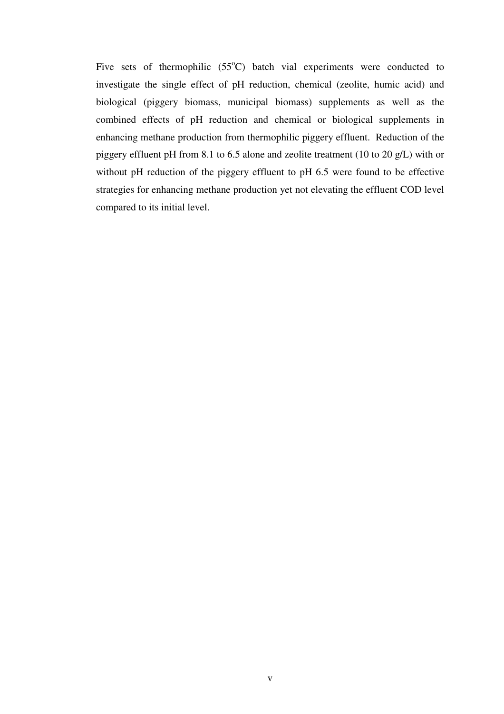Five sets of thermophilic  $(55^{\circ}C)$  batch vial experiments were conducted to investigate the single effect of pH reduction, chemical (zeolite, humic acid) and biological (piggery biomass, municipal biomass) supplements as well as the combined effects of pH reduction and chemical or biological supplements in enhancing methane production from thermophilic piggery effluent. Reduction of the piggery effluent pH from 8.1 to 6.5 alone and zeolite treatment (10 to 20 g/L) with or without pH reduction of the piggery effluent to pH 6.5 were found to be effective strategies for enhancing methane production yet not elevating the effluent COD level compared to its initial level.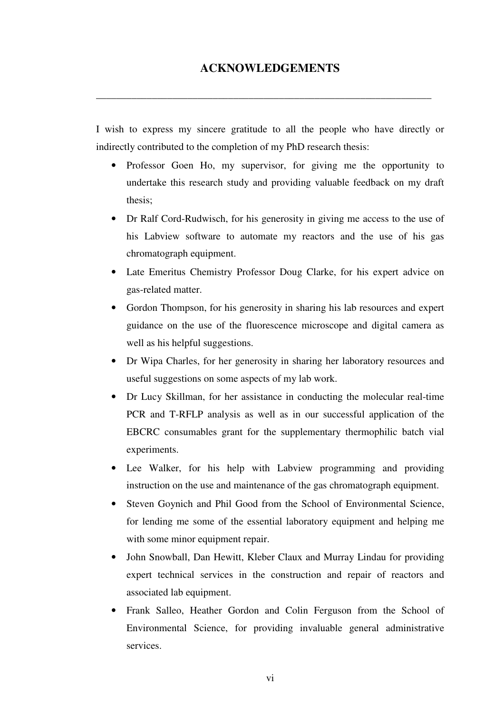**\_\_\_\_\_\_\_\_\_\_\_\_\_\_\_\_\_\_\_\_\_\_\_\_\_\_\_\_\_\_\_\_\_\_\_\_\_\_\_\_\_\_\_\_\_\_\_\_\_\_\_\_\_\_\_\_\_\_\_\_\_\_\_\_\_\_** 

I wish to express my sincere gratitude to all the people who have directly or indirectly contributed to the completion of my PhD research thesis:

- Professor Goen Ho, my supervisor, for giving me the opportunity to undertake this research study and providing valuable feedback on my draft thesis;
- Dr Ralf Cord-Rudwisch, for his generosity in giving me access to the use of his Labview software to automate my reactors and the use of his gas chromatograph equipment.
- Late Emeritus Chemistry Professor Doug Clarke, for his expert advice on gas-related matter.
- Gordon Thompson, for his generosity in sharing his lab resources and expert guidance on the use of the fluorescence microscope and digital camera as well as his helpful suggestions.
- Dr Wipa Charles, for her generosity in sharing her laboratory resources and useful suggestions on some aspects of my lab work.
- Dr Lucy Skillman, for her assistance in conducting the molecular real-time PCR and T-RFLP analysis as well as in our successful application of the EBCRC consumables grant for the supplementary thermophilic batch vial experiments.
- Lee Walker, for his help with Labview programming and providing instruction on the use and maintenance of the gas chromatograph equipment.
- Steven Goynich and Phil Good from the School of Environmental Science, for lending me some of the essential laboratory equipment and helping me with some minor equipment repair.
- John Snowball, Dan Hewitt, Kleber Claux and Murray Lindau for providing expert technical services in the construction and repair of reactors and associated lab equipment.
- Frank Salleo, Heather Gordon and Colin Ferguson from the School of Environmental Science, for providing invaluable general administrative services.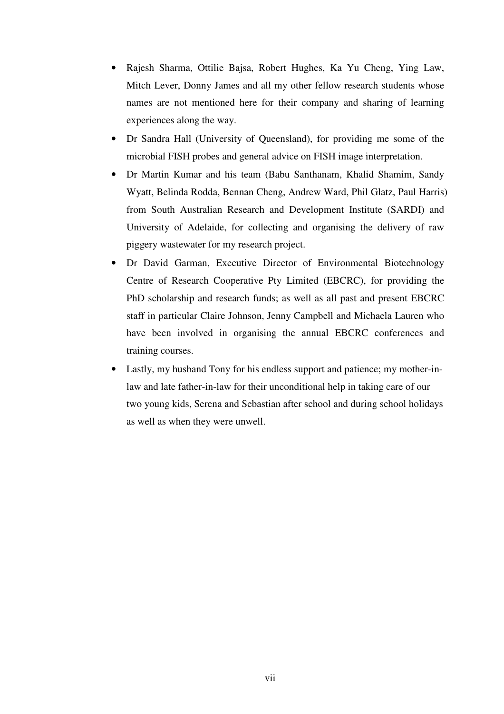- Rajesh Sharma, Ottilie Bajsa, Robert Hughes, Ka Yu Cheng, Ying Law, Mitch Lever, Donny James and all my other fellow research students whose names are not mentioned here for their company and sharing of learning experiences along the way.
- Dr Sandra Hall (University of Queensland), for providing me some of the microbial FISH probes and general advice on FISH image interpretation.
- Dr Martin Kumar and his team (Babu Santhanam, Khalid Shamim, Sandy Wyatt, Belinda Rodda, Bennan Cheng, Andrew Ward, Phil Glatz, Paul Harris) from South Australian Research and Development Institute (SARDI) and University of Adelaide, for collecting and organising the delivery of raw piggery wastewater for my research project.
- Dr David Garman, Executive Director of Environmental Biotechnology Centre of Research Cooperative Pty Limited (EBCRC), for providing the PhD scholarship and research funds; as well as all past and present EBCRC staff in particular Claire Johnson, Jenny Campbell and Michaela Lauren who have been involved in organising the annual EBCRC conferences and training courses.
- Lastly, my husband Tony for his endless support and patience; my mother-inlaw and late father-in-law for their unconditional help in taking care of our two young kids, Serena and Sebastian after school and during school holidays as well as when they were unwell.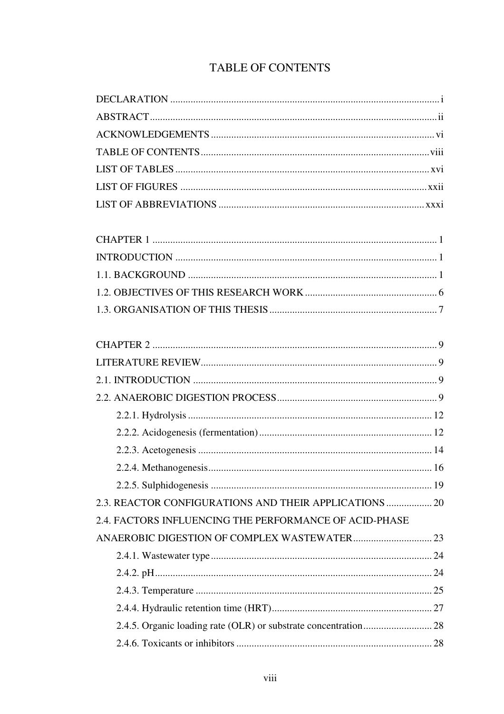# TABLE OF CONTENTS

| 2.3. REACTOR CONFIGURATIONS AND THEIR APPLICATIONS  20 |  |
|--------------------------------------------------------|--|
| 2.4. FACTORS INFLUENCING THE PERFORMANCE OF ACID-PHASE |  |
|                                                        |  |
|                                                        |  |
|                                                        |  |
|                                                        |  |
|                                                        |  |
|                                                        |  |
|                                                        |  |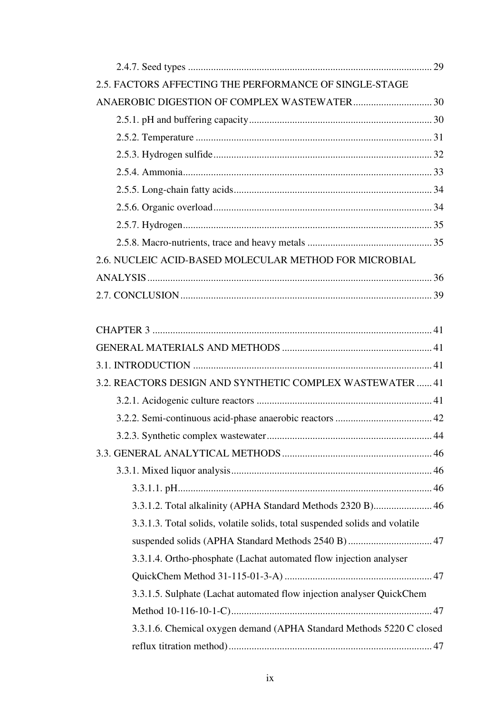| 2.5. FACTORS AFFECTING THE PERFORMANCE OF SINGLE-STAGE                      |
|-----------------------------------------------------------------------------|
|                                                                             |
|                                                                             |
|                                                                             |
|                                                                             |
|                                                                             |
|                                                                             |
|                                                                             |
|                                                                             |
|                                                                             |
| 2.6. NUCLEIC ACID-BASED MOLECULAR METHOD FOR MICROBIAL                      |
|                                                                             |
|                                                                             |
|                                                                             |
|                                                                             |
|                                                                             |
|                                                                             |
| 3.2. REACTORS DESIGN AND SYNTHETIC COMPLEX WASTEWATER  41                   |
|                                                                             |
|                                                                             |
|                                                                             |
|                                                                             |
|                                                                             |
|                                                                             |
| 3.3.1.2. Total alkalinity (APHA Standard Methods 2320 B) 46                 |
| 3.3.1.3. Total solids, volatile solids, total suspended solids and volatile |
| suspended solids (APHA Standard Methods 2540 B) 47                          |
| 3.3.1.4. Ortho-phosphate (Lachat automated flow injection analyser          |
|                                                                             |
| 3.3.1.5. Sulphate (Lachat automated flow injection analyser QuickChem       |
|                                                                             |
|                                                                             |
| 3.3.1.6. Chemical oxygen demand (APHA Standard Methods 5220 C closed        |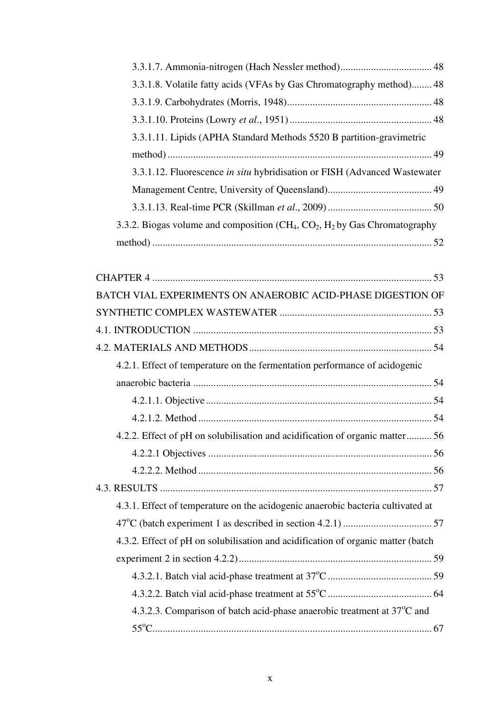| 3.3.1.8. Volatile fatty acids (VFAs by Gas Chromatography method) 48              |
|-----------------------------------------------------------------------------------|
|                                                                                   |
|                                                                                   |
| 3.3.1.11. Lipids (APHA Standard Methods 5520 B partition-gravimetric              |
|                                                                                   |
| 3.3.1.12. Fluorescence in situ hybridisation or FISH (Advanced Wastewater         |
|                                                                                   |
|                                                                                   |
| 3.3.2. Biogas volume and composition $(CH_4, CO_2, H_2)$ by Gas Chromatography    |
|                                                                                   |
|                                                                                   |
|                                                                                   |
| BATCH VIAL EXPERIMENTS ON ANAEROBIC ACID-PHASE DIGESTION OF                       |
|                                                                                   |
|                                                                                   |
|                                                                                   |
| 4.2.1. Effect of temperature on the fermentation performance of acidogenic        |
|                                                                                   |
|                                                                                   |
|                                                                                   |
| 4.2.2. Effect of pH on solubilisation and acidification of organic matter 56      |
|                                                                                   |
|                                                                                   |
|                                                                                   |
| 4.3.1. Effect of temperature on the acidogenic anaerobic bacteria cultivated at   |
|                                                                                   |
| 4.3.2. Effect of pH on solubilisation and acidification of organic matter (batch  |
|                                                                                   |
|                                                                                   |
|                                                                                   |
| 4.3.2.3. Comparison of batch acid-phase anaerobic treatment at $37^{\circ}$ C and |
|                                                                                   |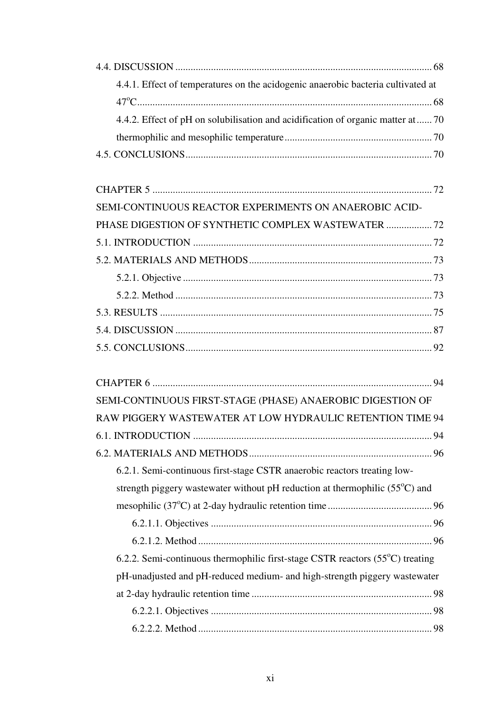| 4.4.1. Effect of temperatures on the acidogenic anaerobic bacteria cultivated at      |    |
|---------------------------------------------------------------------------------------|----|
|                                                                                       |    |
| 4.4.2. Effect of pH on solubilisation and acidification of organic matter at  70      |    |
|                                                                                       |    |
|                                                                                       |    |
|                                                                                       |    |
| SEMI-CONTINUOUS REACTOR EXPERIMENTS ON ANAEROBIC ACID-                                |    |
| PHASE DIGESTION OF SYNTHETIC COMPLEX WASTEWATER  72                                   |    |
|                                                                                       |    |
|                                                                                       |    |
|                                                                                       |    |
|                                                                                       |    |
|                                                                                       |    |
|                                                                                       |    |
|                                                                                       |    |
|                                                                                       |    |
| SEMI-CONTINUOUS FIRST-STAGE (PHASE) ANAEROBIC DIGESTION OF                            |    |
| RAW PIGGERY WASTEWATER AT LOW HYDRAULIC RETENTION TIME 94                             |    |
| <b>6.1. INTRODUCTION</b>                                                              | 94 |
|                                                                                       |    |
| 6.2.1. Semi-continuous first-stage CSTR anaerobic reactors treating low-              |    |
| strength piggery was tewater without pH reduction at thermophilic $(55^{\circ}C)$ and |    |
|                                                                                       |    |
|                                                                                       |    |
|                                                                                       |    |
| 6.2.2. Semi-continuous thermophilic first-stage CSTR reactors (55°C) treating         |    |
| pH-unadjusted and pH-reduced medium- and high-strength piggery wastewater             |    |
|                                                                                       |    |
|                                                                                       |    |
|                                                                                       |    |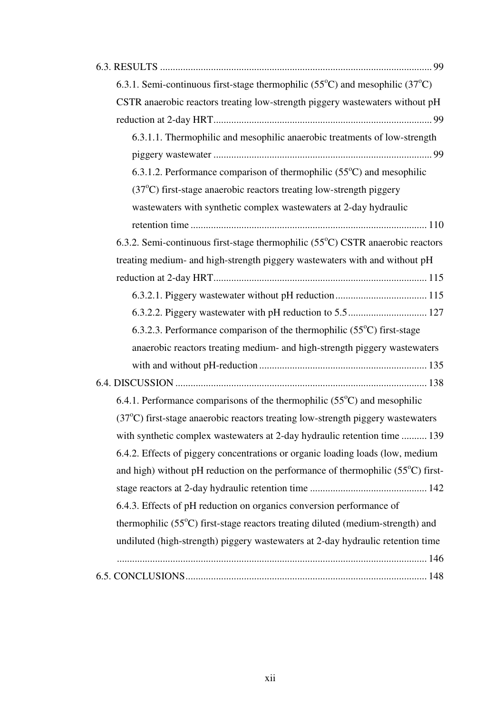| 6.3.1. Semi-continuous first-stage thermophilic $(55^{\circ}C)$ and mesophilic $(37^{\circ}C)$ |
|------------------------------------------------------------------------------------------------|
| CSTR anaerobic reactors treating low-strength piggery wastewaters without pH                   |
|                                                                                                |
| 6.3.1.1. Thermophilic and mesophilic anaerobic treatments of low-strength                      |
|                                                                                                |
| 6.3.1.2. Performance comparison of thermophilic $(55^{\circ}C)$ and mesophilic                 |
| $(37^{\circ}$ C) first-stage anaerobic reactors treating low-strength piggery                  |
| wastewaters with synthetic complex wastewaters at 2-day hydraulic                              |
|                                                                                                |
| 6.3.2. Semi-continuous first-stage thermophilic (55°C) CSTR anaerobic reactors                 |
| treating medium- and high-strength piggery wastewaters with and without pH                     |
|                                                                                                |
|                                                                                                |
|                                                                                                |
| 6.3.2.3. Performance comparison of the thermophilic $(55^{\circ}C)$ first-stage                |
| anaerobic reactors treating medium- and high-strength piggery wastewaters                      |
|                                                                                                |
|                                                                                                |
| 6.4.1. Performance comparisons of the thermophilic $(55^{\circ}C)$ and mesophilic              |
| $(37^{\circ}$ C) first-stage anaerobic reactors treating low-strength piggery wastewaters      |
| with synthetic complex wastewaters at 2-day hydraulic retention time  139                      |
| 6.4.2. Effects of piggery concentrations or organic loading loads (low, medium                 |
| and high) without pH reduction on the performance of thermophilic $(55^{\circ}C)$ first-       |
|                                                                                                |
| 6.4.3. Effects of pH reduction on organics conversion performance of                           |
| thermophilic (55 <sup>o</sup> C) first-stage reactors treating diluted (medium-strength) and   |
| undiluted (high-strength) piggery wastewaters at 2-day hydraulic retention time                |
|                                                                                                |
|                                                                                                |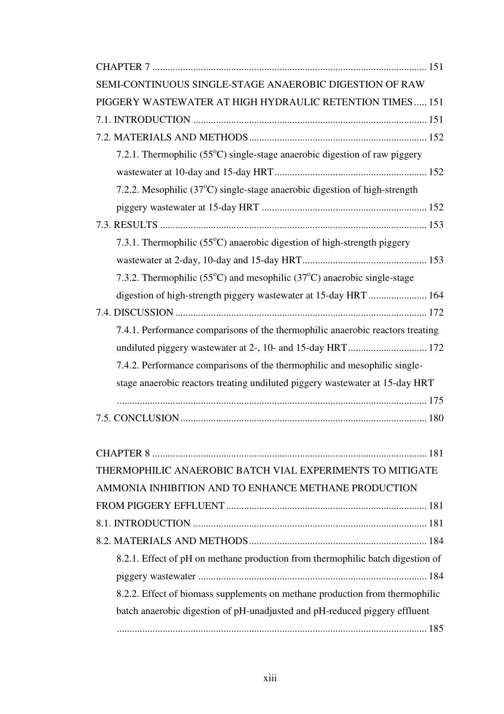| SEMI-CONTINUOUS SINGLE-STAGE ANAEROBIC DIGESTION OF RAW                                       |
|-----------------------------------------------------------------------------------------------|
| PIGGERY WASTEWATER AT HIGH HYDRAULIC RETENTION TIMES 151                                      |
|                                                                                               |
|                                                                                               |
| 7.2.1. Thermophilic $(55^{\circ}C)$ single-stage anaerobic digestion of raw piggery           |
|                                                                                               |
| 7.2.2. Mesophilic $(37^{\circ}C)$ single-stage anaerobic digestion of high-strength           |
|                                                                                               |
|                                                                                               |
| 7.3.1. Thermophilic (55°C) anaerobic digestion of high-strength piggery                       |
|                                                                                               |
| 7.3.2. Thermophilic (55 $^{\circ}$ C) and mesophilic (37 $^{\circ}$ C) anaerobic single-stage |
| digestion of high-strength piggery wastewater at 15-day HRT  164                              |
|                                                                                               |
| 7.4.1. Performance comparisons of the thermophilic anaerobic reactors treating                |
|                                                                                               |
| 7.4.2. Performance comparisons of the thermophilic and mesophilic single-                     |
| stage anaerobic reactors treating undiluted piggery wastewater at 15-day HRT                  |
|                                                                                               |
|                                                                                               |
|                                                                                               |
|                                                                                               |
| THERMOPHILIC ANAEROBIC BATCH VIAL EXPERIMENTS TO MITIGATE                                     |
| AMMONIA INHIBITION AND TO ENHANCE METHANE PRODUCTION                                          |
|                                                                                               |
|                                                                                               |
|                                                                                               |
| 8.2.1. Effect of pH on methane production from thermophilic batch digestion of                |
|                                                                                               |
| 8.2.2. Effect of biomass supplements on methane production from thermophilic                  |
| batch anaerobic digestion of pH-unadjusted and pH-reduced piggery effluent                    |
|                                                                                               |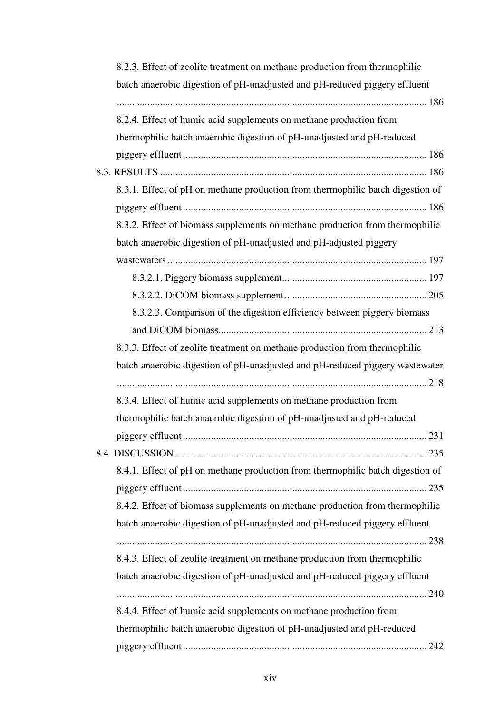| 8.2.3. Effect of zeolite treatment on methane production from thermophilic     |
|--------------------------------------------------------------------------------|
| batch anaerobic digestion of pH-unadjusted and pH-reduced piggery effluent     |
| 8.2.4. Effect of humic acid supplements on methane production from             |
| thermophilic batch anaerobic digestion of pH-unadjusted and pH-reduced         |
|                                                                                |
|                                                                                |
| 8.3.1. Effect of pH on methane production from thermophilic batch digestion of |
|                                                                                |
| 8.3.2. Effect of biomass supplements on methane production from thermophilic   |
| batch anaerobic digestion of pH-unadjusted and pH-adjusted piggery             |
|                                                                                |
|                                                                                |
|                                                                                |
| 8.3.2.3. Comparison of the digestion efficiency between piggery biomass        |
|                                                                                |
| 8.3.3. Effect of zeolite treatment on methane production from thermophilic     |
| batch anaerobic digestion of pH-unadjusted and pH-reduced piggery wastewater   |
|                                                                                |
| 8.3.4. Effect of humic acid supplements on methane production from             |
| thermophilic batch anaerobic digestion of pH-unadjusted and pH-reduced         |
|                                                                                |
|                                                                                |
| 8.4.1. Effect of pH on methane production from thermophilic batch digestion of |
|                                                                                |
| 8.4.2. Effect of biomass supplements on methane production from thermophilic   |
| batch anaerobic digestion of pH-unadjusted and pH-reduced piggery effluent     |
|                                                                                |
| 8.4.3. Effect of zeolite treatment on methane production from thermophilic     |
| batch anaerobic digestion of pH-unadjusted and pH-reduced piggery effluent     |
|                                                                                |
| 8.4.4. Effect of humic acid supplements on methane production from             |
| thermophilic batch anaerobic digestion of pH-unadjusted and pH-reduced         |
|                                                                                |
|                                                                                |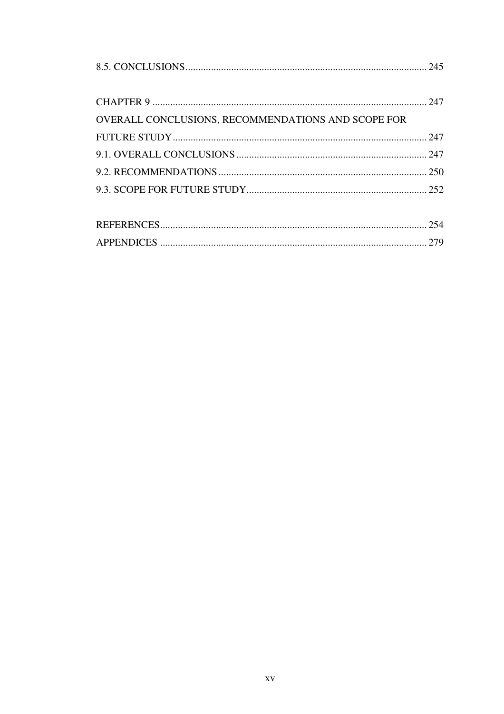| OVERALL CONCLUSIONS, RECOMMENDATIONS AND SCOPE FOR |  |
|----------------------------------------------------|--|
|                                                    |  |
|                                                    |  |
|                                                    |  |
|                                                    |  |
|                                                    |  |
|                                                    |  |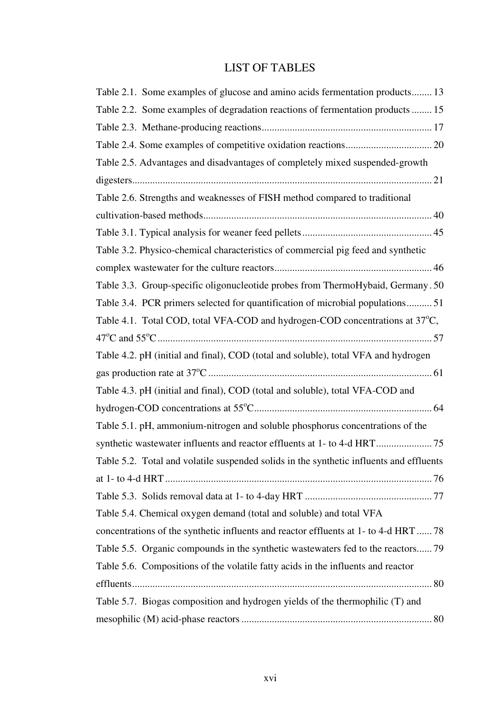### LIST OF TABLES

| Table 2.1. Some examples of glucose and amino acids fermentation products 13              |
|-------------------------------------------------------------------------------------------|
| Table 2.2. Some examples of degradation reactions of fermentation products  15            |
|                                                                                           |
|                                                                                           |
| Table 2.5. Advantages and disadvantages of completely mixed suspended-growth              |
|                                                                                           |
| Table 2.6. Strengths and weaknesses of FISH method compared to traditional                |
|                                                                                           |
|                                                                                           |
| Table 3.2. Physico-chemical characteristics of commercial pig feed and synthetic          |
|                                                                                           |
| Table 3.3. Group-specific oligonucleotide probes from ThermoHybaid, Germany. 50           |
| Table 3.4. PCR primers selected for quantification of microbial populations51             |
| Table 4.1. Total COD, total VFA-COD and hydrogen-COD concentrations at 37 <sup>o</sup> C, |
|                                                                                           |
| Table 4.2. pH (initial and final), COD (total and soluble), total VFA and hydrogen        |
|                                                                                           |
| Table 4.3. pH (initial and final), COD (total and soluble), total VFA-COD and             |
|                                                                                           |
| Table 5.1. pH, ammonium-nitrogen and soluble phosphorus concentrations of the             |
|                                                                                           |
| Table 5.2. Total and volatile suspended solids in the synthetic influents and effluents   |
|                                                                                           |
|                                                                                           |
| Table 5.4. Chemical oxygen demand (total and soluble) and total VFA                       |
| concentrations of the synthetic influents and reactor effluents at 1- to 4-d HRT  78      |
| Table 5.5. Organic compounds in the synthetic wastewaters fed to the reactors 79          |
| Table 5.6. Compositions of the volatile fatty acids in the influents and reactor          |
|                                                                                           |
| Table 5.7. Biogas composition and hydrogen yields of the thermophilic (T) and             |
|                                                                                           |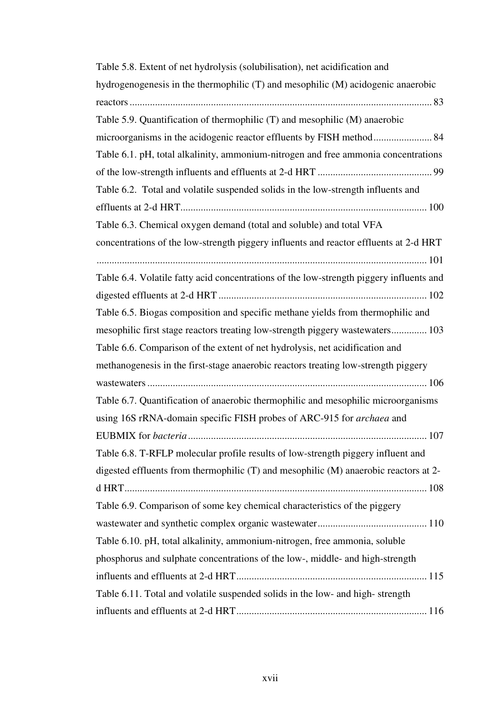| Table 5.8. Extent of net hydrolysis (solubilisation), net acidification and             |
|-----------------------------------------------------------------------------------------|
| hydrogenogenesis in the thermophilic (T) and mesophilic (M) acidogenic anaerobic        |
|                                                                                         |
| Table 5.9. Quantification of thermophilic (T) and mesophilic (M) anaerobic              |
|                                                                                         |
| Table 6.1. pH, total alkalinity, ammonium-nitrogen and free ammonia concentrations      |
|                                                                                         |
| Table 6.2. Total and volatile suspended solids in the low-strength influents and        |
|                                                                                         |
| Table 6.3. Chemical oxygen demand (total and soluble) and total VFA                     |
| concentrations of the low-strength piggery influents and reactor effluents at 2-d HRT   |
| Table 6.4. Volatile fatty acid concentrations of the low-strength piggery influents and |
|                                                                                         |
|                                                                                         |
| Table 6.5. Biogas composition and specific methane yields from thermophilic and         |
| mesophilic first stage reactors treating low-strength piggery wastewaters 103           |
| Table 6.6. Comparison of the extent of net hydrolysis, net acidification and            |
| methanogenesis in the first-stage anaerobic reactors treating low-strength piggery      |
|                                                                                         |
| Table 6.7. Quantification of anaerobic thermophilic and mesophilic microorganisms       |
| using 16S rRNA-domain specific FISH probes of ARC-915 for archaea and                   |
|                                                                                         |
| Table 6.8. T-RFLP molecular profile results of low-strength piggery influent and        |
| digested effluents from thermophilic (T) and mesophilic (M) anaerobic reactors at 2-    |
|                                                                                         |
| Table 6.9. Comparison of some key chemical characteristics of the piggery               |
|                                                                                         |
| Table 6.10. pH, total alkalinity, ammonium-nitrogen, free ammonia, soluble              |
| phosphorus and sulphate concentrations of the low-, middle- and high-strength           |
|                                                                                         |
| Table 6.11. Total and volatile suspended solids in the low- and high-strength           |
|                                                                                         |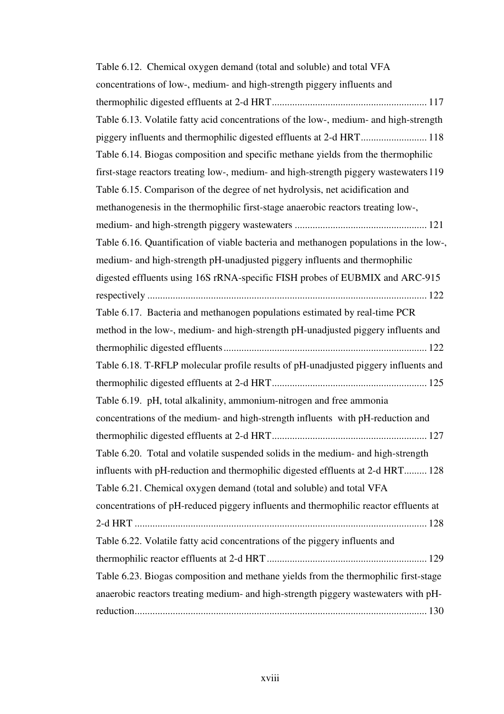| Table 6.12. Chemical oxygen demand (total and soluble) and total VFA                  |
|---------------------------------------------------------------------------------------|
| concentrations of low-, medium- and high-strength piggery influents and               |
|                                                                                       |
| Table 6.13. Volatile fatty acid concentrations of the low-, medium- and high-strength |
|                                                                                       |
| Table 6.14. Biogas composition and specific methane yields from the thermophilic      |
| first-stage reactors treating low-, medium- and high-strength piggery wastewaters 119 |
| Table 6.15. Comparison of the degree of net hydrolysis, net acidification and         |
| methanogenesis in the thermophilic first-stage anaerobic reactors treating low-,      |
|                                                                                       |
| Table 6.16. Quantification of viable bacteria and methanogen populations in the low-, |
| medium- and high-strength pH-unadjusted piggery influents and thermophilic            |
| digested effluents using 16S rRNA-specific FISH probes of EUBMIX and ARC-915          |
|                                                                                       |
| Table 6.17. Bacteria and methanogen populations estimated by real-time PCR            |
| method in the low-, medium- and high-strength pH-unadjusted piggery influents and     |
|                                                                                       |
| Table 6.18. T-RFLP molecular profile results of pH-unadjusted piggery influents and   |
|                                                                                       |
| Table 6.19. pH, total alkalinity, ammonium-nitrogen and free ammonia                  |
| concentrations of the medium- and high-strength influents with pH-reduction and       |
|                                                                                       |
| Table 6.20. Total and volatile suspended solids in the medium- and high-strength      |
| influents with pH-reduction and thermophilic digested effluents at 2-d HRT 128        |
| Table 6.21. Chemical oxygen demand (total and soluble) and total VFA                  |
| concentrations of pH-reduced piggery influents and thermophilic reactor effluents at  |
|                                                                                       |
| Table 6.22. Volatile fatty acid concentrations of the piggery influents and           |
|                                                                                       |
| Table 6.23. Biogas composition and methane yields from the thermophilic first-stage   |
| anaerobic reactors treating medium- and high-strength piggery wastewaters with pH-    |
|                                                                                       |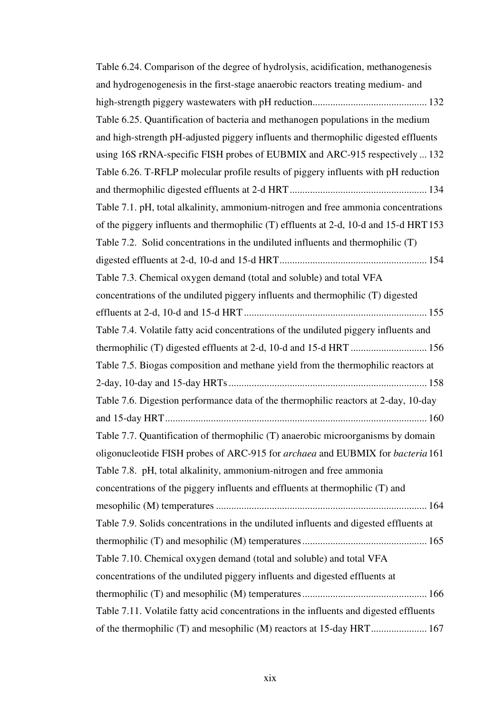| Table 6.24. Comparison of the degree of hydrolysis, acidification, methanogenesis            |
|----------------------------------------------------------------------------------------------|
| and hydrogenogenesis in the first-stage anaerobic reactors treating medium- and              |
|                                                                                              |
| Table 6.25. Quantification of bacteria and methanogen populations in the medium              |
| and high-strength pH-adjusted piggery influents and thermophilic digested effluents          |
| using 16S rRNA-specific FISH probes of EUBMIX and ARC-915 respectively  132                  |
| Table 6.26. T-RFLP molecular profile results of piggery influents with pH reduction          |
|                                                                                              |
| Table 7.1. pH, total alkalinity, ammonium-nitrogen and free ammonia concentrations           |
| of the piggery influents and thermophilic (T) effluents at 2-d, 10-d and 15-d HRT153         |
| Table 7.2. Solid concentrations in the undiluted influents and thermophilic $(T)$            |
|                                                                                              |
| Table 7.3. Chemical oxygen demand (total and soluble) and total VFA                          |
| concentrations of the undiluted piggery influents and thermophilic (T) digested              |
|                                                                                              |
| Table 7.4. Volatile fatty acid concentrations of the undiluted piggery influents and         |
| thermophilic (T) digested effluents at 2-d, 10-d and 15-d HRT  156                           |
| Table 7.5. Biogas composition and methane yield from the thermophilic reactors at            |
|                                                                                              |
| Table 7.6. Digestion performance data of the thermophilic reactors at 2-day, 10-day          |
|                                                                                              |
| Table 7.7. Quantification of thermophilic (T) anaerobic microorganisms by domain             |
| oligonucleotide FISH probes of ARC-915 for <i>archaea</i> and EUBMIX for <i>bacteria</i> 161 |
| Table 7.8. pH, total alkalinity, ammonium-nitrogen and free ammonia                          |
| concentrations of the piggery influents and effluents at thermophilic (T) and                |
|                                                                                              |
| Table 7.9. Solids concentrations in the undiluted influents and digested effluents at        |
|                                                                                              |
| Table 7.10. Chemical oxygen demand (total and soluble) and total VFA                         |
| concentrations of the undiluted piggery influents and digested effluents at                  |
|                                                                                              |
| Table 7.11. Volatile fatty acid concentrations in the influents and digested effluents       |
|                                                                                              |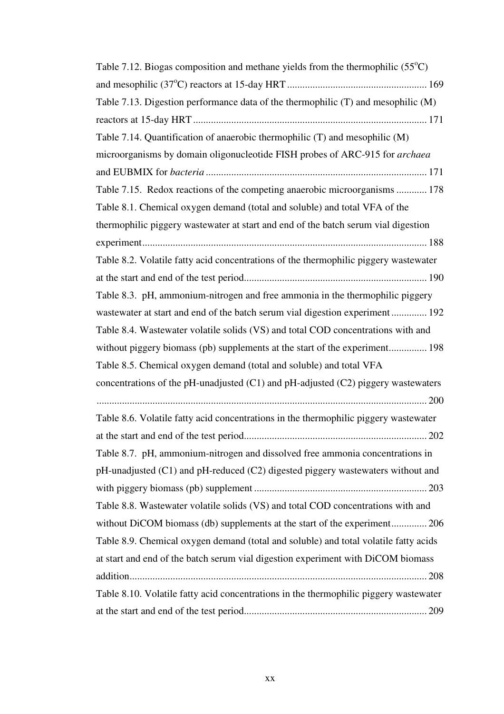| Table 7.12. Biogas composition and methane yields from the thermophilic $(55^{\circ}C)$ |
|-----------------------------------------------------------------------------------------|
|                                                                                         |
| Table 7.13. Digestion performance data of the thermophilic (T) and mesophilic (M)       |
|                                                                                         |
| Table 7.14. Quantification of anaerobic thermophilic (T) and mesophilic (M)             |
| microorganisms by domain oligonucleotide FISH probes of ARC-915 for archaea             |
|                                                                                         |
| Table 7.15. Redox reactions of the competing anaerobic microorganisms  178              |
| Table 8.1. Chemical oxygen demand (total and soluble) and total VFA of the              |
| thermophilic piggery wastewater at start and end of the batch serum vial digestion      |
|                                                                                         |
| Table 8.2. Volatile fatty acid concentrations of the thermophilic piggery wastewater    |
|                                                                                         |
| Table 8.3. pH, ammonium-nitrogen and free ammonia in the thermophilic piggery           |
| wastewater at start and end of the batch serum vial digestion experiment 192            |
| Table 8.4. Wastewater volatile solids (VS) and total COD concentrations with and        |
| without piggery biomass (pb) supplements at the start of the experiment 198             |
| Table 8.5. Chemical oxygen demand (total and soluble) and total VFA                     |
| concentrations of the pH-unadjusted $(C1)$ and pH-adjusted $(C2)$ piggery wastewaters   |
|                                                                                         |
| Table 8.6. Volatile fatty acid concentrations in the thermophilic piggery wastewater    |
|                                                                                         |
| Table 8.7. pH, ammonium-nitrogen and dissolved free ammonia concentrations in           |
| pH-unadjusted (C1) and pH-reduced (C2) digested piggery wastewaters without and         |
|                                                                                         |
| Table 8.8. Wastewater volatile solids (VS) and total COD concentrations with and        |
| without DiCOM biomass (db) supplements at the start of the experiment 206               |
| Table 8.9. Chemical oxygen demand (total and soluble) and total volatile fatty acids    |
| at start and end of the batch serum vial digestion experiment with DiCOM biomass        |
|                                                                                         |
| Table 8.10. Volatile fatty acid concentrations in the thermophilic piggery wastewater   |
|                                                                                         |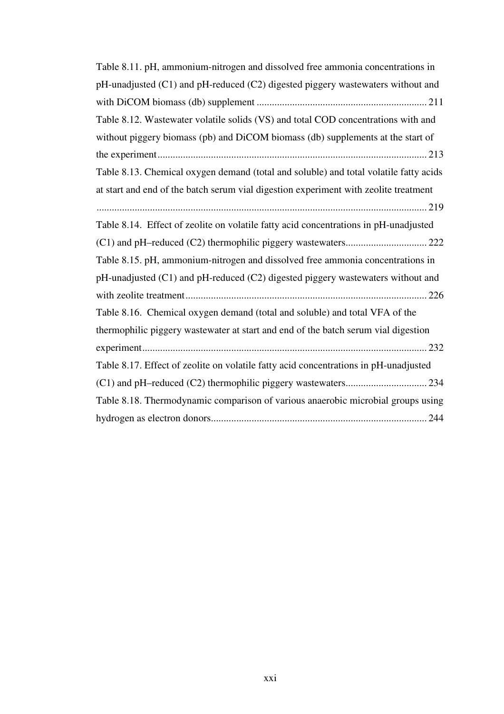| Table 8.11. pH, ammonium-nitrogen and dissolved free ammonia concentrations in        |
|---------------------------------------------------------------------------------------|
| pH-unadjusted (C1) and pH-reduced (C2) digested piggery wastewaters without and       |
|                                                                                       |
| Table 8.12. Wastewater volatile solids (VS) and total COD concentrations with and     |
| without piggery biomass (pb) and DiCOM biomass (db) supplements at the start of       |
|                                                                                       |
| Table 8.13. Chemical oxygen demand (total and soluble) and total volatile fatty acids |
| at start and end of the batch serum vial digestion experiment with zeolite treatment  |
|                                                                                       |
| Table 8.14. Effect of zeolite on volatile fatty acid concentrations in pH-unadjusted  |
|                                                                                       |
| Table 8.15. pH, ammonium-nitrogen and dissolved free ammonia concentrations in        |
| pH-unadjusted (C1) and pH-reduced (C2) digested piggery wastewaters without and       |
|                                                                                       |
| Table 8.16. Chemical oxygen demand (total and soluble) and total VFA of the           |
| thermophilic piggery wastewater at start and end of the batch serum vial digestion    |
|                                                                                       |
| Table 8.17. Effect of zeolite on volatile fatty acid concentrations in pH-unadjusted  |
|                                                                                       |
| Table 8.18. Thermodynamic comparison of various anaerobic microbial groups using      |
|                                                                                       |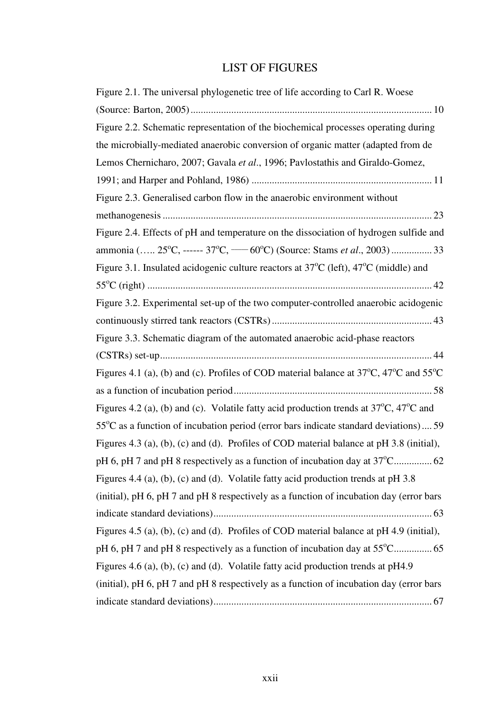#### LIST OF FIGURES

| Figure 2.1. The universal phylogenetic tree of life according to Carl R. Woese                                      |
|---------------------------------------------------------------------------------------------------------------------|
|                                                                                                                     |
| Figure 2.2. Schematic representation of the biochemical processes operating during                                  |
| the microbially-mediated anaerobic conversion of organic matter (adapted from de                                    |
| Lemos Chernicharo, 2007; Gavala et al., 1996; Pavlostathis and Giraldo-Gomez,                                       |
|                                                                                                                     |
| Figure 2.3. Generalised carbon flow in the anaerobic environment without                                            |
|                                                                                                                     |
| Figure 2.4. Effects of pH and temperature on the dissociation of hydrogen sulfide and                               |
| ammonia ( 25°C, ------ 37°C, ----- 60°C) (Source: Stams et al., 2003)  33                                           |
| Figure 3.1. Insulated acidogenic culture reactors at 37°C (left), 47°C (middle) and                                 |
|                                                                                                                     |
| Figure 3.2. Experimental set-up of the two computer-controlled anaerobic acidogenic                                 |
|                                                                                                                     |
| Figure 3.3. Schematic diagram of the automated anaerobic acid-phase reactors                                        |
|                                                                                                                     |
| Figures 4.1 (a), (b) and (c). Profiles of COD material balance at $37^{\circ}$ C, $47^{\circ}$ C and $55^{\circ}$ C |
|                                                                                                                     |
| Figures 4.2 (a), (b) and (c). Volatile fatty acid production trends at $37^{\circ}$ C, $47^{\circ}$ C and           |
|                                                                                                                     |
| $55^{\circ}$ C as a function of incubation period (error bars indicate standard deviations) 59                      |
| Figures 4.3 (a), (b), (c) and (d). Profiles of COD material balance at pH 3.8 (initial),                            |
| pH 6, pH 7 and pH 8 respectively as a function of incubation day at 37°C 62                                         |
| Figures 4.4 (a), (b), (c) and (d). Volatile fatty acid production trends at pH 3.8                                  |
| (initial), pH 6, pH 7 and pH 8 respectively as a function of incubation day (error bars                             |
|                                                                                                                     |
| Figures 4.5 (a), (b), (c) and (d). Profiles of COD material balance at pH 4.9 (initial),                            |
| pH 6, pH 7 and pH 8 respectively as a function of incubation day at 55°C 65                                         |
| Figures 4.6 (a), (b), (c) and (d). Volatile fatty acid production trends at pH4.9                                   |
| (initial), pH 6, pH 7 and pH 8 respectively as a function of incubation day (error bars                             |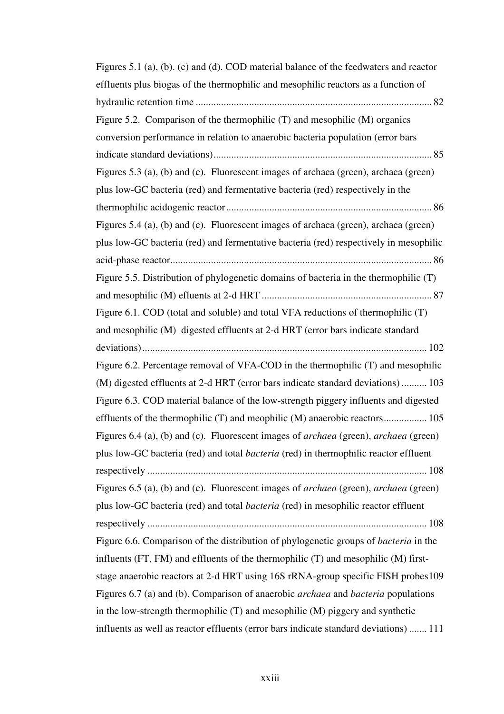| Figures 5.1 (a), (b). (c) and (d). COD material balance of the feedwaters and reactor              |
|----------------------------------------------------------------------------------------------------|
| effluents plus biogas of the thermophilic and mesophilic reactors as a function of                 |
|                                                                                                    |
| Figure 5.2. Comparison of the thermophilic (T) and mesophilic (M) organics                         |
| conversion performance in relation to anaerobic bacteria population (error bars                    |
|                                                                                                    |
| Figures 5.3 (a), (b) and (c). Fluorescent images of archaea (green), archaea (green)               |
| plus low-GC bacteria (red) and fermentative bacteria (red) respectively in the                     |
|                                                                                                    |
| Figures 5.4 (a), (b) and (c). Fluorescent images of archaea (green), archaea (green)               |
| plus low-GC bacteria (red) and fermentative bacteria (red) respectively in mesophilic              |
|                                                                                                    |
| Figure 5.5. Distribution of phylogenetic domains of bacteria in the thermophilic $(T)$             |
|                                                                                                    |
| Figure 6.1. COD (total and soluble) and total VFA reductions of thermophilic (T)                   |
| and mesophilic (M) digested effluents at 2-d HRT (error bars indicate standard                     |
|                                                                                                    |
| Figure 6.2. Percentage removal of VFA-COD in the thermophilic (T) and mesophilic                   |
| (M) digested effluents at 2-d HRT (error bars indicate standard deviations)  103                   |
| Figure 6.3. COD material balance of the low-strength piggery influents and digested                |
| effluents of the thermophilic (T) and meophilic (M) anaerobic reactors 105                         |
| Figures 6.4 (a), (b) and (c). Fluorescent images of archaea (green), archaea (green)               |
| plus low-GC bacteria (red) and total <i>bacteria</i> (red) in thermophilic reactor effluent        |
|                                                                                                    |
| Figures 6.5 (a), (b) and (c). Fluorescent images of <i>archaea</i> (green), <i>archaea</i> (green) |
| plus low-GC bacteria (red) and total <i>bacteria</i> (red) in mesophilic reactor effluent          |
|                                                                                                    |
| Figure 6.6. Comparison of the distribution of phylogenetic groups of <i>bacteria</i> in the        |
| influents (FT, FM) and effluents of the thermophilic (T) and mesophilic (M) first-                 |
| stage anaerobic reactors at 2-d HRT using 16S rRNA-group specific FISH probes 109                  |
| Figures 6.7 (a) and (b). Comparison of anaerobic <i>archaea</i> and <i>bacteria</i> populations    |
| in the low-strength thermophilic (T) and mesophilic (M) piggery and synthetic                      |
| influents as well as reactor effluents (error bars indicate standard deviations)  111              |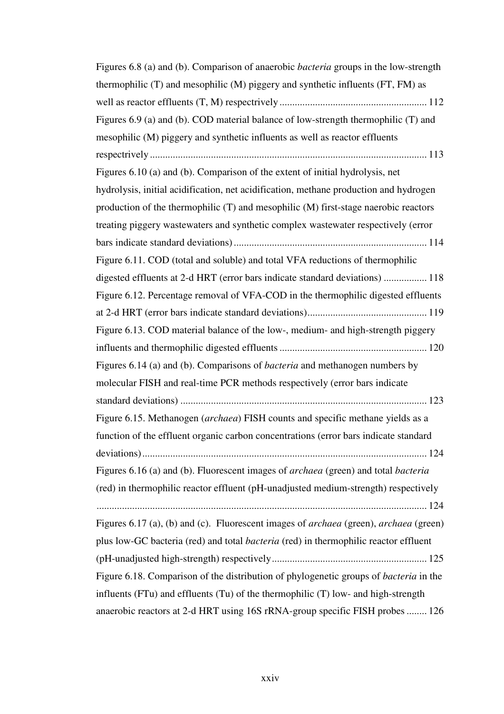| Figures 6.8 (a) and (b). Comparison of anaerobic <i>bacteria</i> groups in the low-strength                                                                                |
|----------------------------------------------------------------------------------------------------------------------------------------------------------------------------|
| thermophilic (T) and mesophilic (M) piggery and synthetic influents (FT, FM) as                                                                                            |
|                                                                                                                                                                            |
| Figures 6.9 (a) and (b). COD material balance of low-strength thermophilic (T) and                                                                                         |
| mesophilic (M) piggery and synthetic influents as well as reactor effluents                                                                                                |
|                                                                                                                                                                            |
| Figures 6.10 (a) and (b). Comparison of the extent of initial hydrolysis, net                                                                                              |
| hydrolysis, initial acidification, net acidification, methane production and hydrogen                                                                                      |
| production of the thermophilic (T) and mesophilic (M) first-stage naerobic reactors                                                                                        |
| treating piggery wastewaters and synthetic complex wastewater respectively (error                                                                                          |
|                                                                                                                                                                            |
| Figure 6.11. COD (total and soluble) and total VFA reductions of thermophilic                                                                                              |
| digested effluents at 2-d HRT (error bars indicate standard deviations)  118                                                                                               |
| Figure 6.12. Percentage removal of VFA-COD in the thermophilic digested effluents                                                                                          |
|                                                                                                                                                                            |
| Figure 6.13. COD material balance of the low-, medium- and high-strength piggery                                                                                           |
|                                                                                                                                                                            |
|                                                                                                                                                                            |
| Figures 6.14 (a) and (b). Comparisons of <i>bacteria</i> and methanogen numbers by                                                                                         |
| molecular FISH and real-time PCR methods respectively (error bars indicate                                                                                                 |
|                                                                                                                                                                            |
| Figure 6.15. Methanogen (archaea) FISH counts and specific methane yields as a                                                                                             |
| function of the effluent organic carbon concentrations (error bars indicate standard                                                                                       |
|                                                                                                                                                                            |
| Figures 6.16 (a) and (b). Fluorescent images of archaea (green) and total bacteria                                                                                         |
| (red) in thermophilic reactor effluent (pH-unadjusted medium-strength) respectively                                                                                        |
|                                                                                                                                                                            |
| Figures 6.17 (a), (b) and (c). Fluorescent images of archaea (green), archaea (green)                                                                                      |
| plus low-GC bacteria (red) and total <i>bacteria</i> (red) in thermophilic reactor effluent                                                                                |
|                                                                                                                                                                            |
| Figure 6.18. Comparison of the distribution of phylogenetic groups of bacteria in the<br>influents (FTu) and effluents (Tu) of the thermophilic (T) low- and high-strength |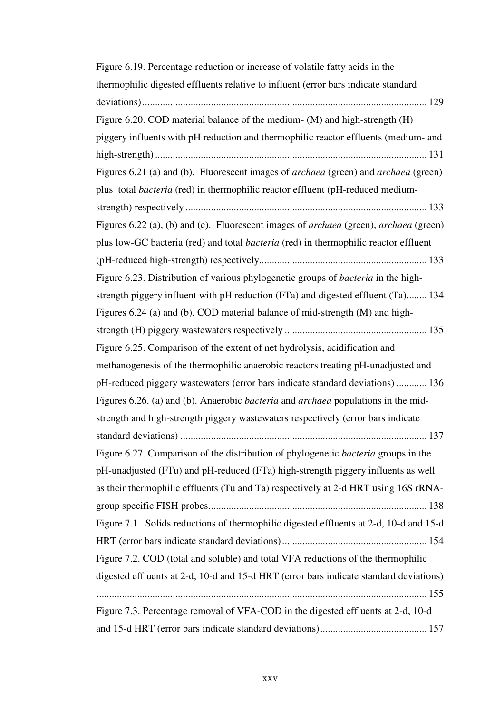| Figure 6.19. Percentage reduction or increase of volatile fatty acids in the                    |
|-------------------------------------------------------------------------------------------------|
| thermophilic digested effluents relative to influent (error bars indicate standard              |
|                                                                                                 |
| Figure 6.20. COD material balance of the medium- (M) and high-strength (H)                      |
| piggery influents with pH reduction and thermophilic reactor effluents (medium- and             |
|                                                                                                 |
| Figures 6.21 (a) and (b). Fluorescent images of archaea (green) and archaea (green)             |
| plus total bacteria (red) in thermophilic reactor effluent (pH-reduced medium-                  |
|                                                                                                 |
| Figures 6.22 (a), (b) and (c). Fluorescent images of archaea (green), archaea (green)           |
| plus low-GC bacteria (red) and total <i>bacteria</i> (red) in thermophilic reactor effluent     |
|                                                                                                 |
| Figure 6.23. Distribution of various phylogenetic groups of <i>bacteria</i> in the high-        |
| strength piggery influent with pH reduction (FTa) and digested effluent (Ta) 134                |
| Figures 6.24 (a) and (b). COD material balance of mid-strength (M) and high-                    |
|                                                                                                 |
| Figure 6.25. Comparison of the extent of net hydrolysis, acidification and                      |
| methanogenesis of the thermophilic anaerobic reactors treating pH-unadjusted and                |
| pH-reduced piggery wastewaters (error bars indicate standard deviations)  136                   |
| Figures 6.26. (a) and (b). Anaerobic <i>bacteria</i> and <i>archaea</i> populations in the mid- |
| strength and high-strength piggery wastewaters respectively (error bars indicate                |
|                                                                                                 |
| Figure 6.27. Comparison of the distribution of phylogenetic bacteria groups in the              |
| pH-unadjusted (FTu) and pH-reduced (FTa) high-strength piggery influents as well                |
| as their thermophilic effluents (Tu and Ta) respectively at 2-d HRT using 16S rRNA-             |
|                                                                                                 |
| Figure 7.1. Solids reductions of thermophilic digested effluents at 2-d, 10-d and 15-d          |
|                                                                                                 |
| Figure 7.2. COD (total and soluble) and total VFA reductions of the thermophilic                |
| digested effluents at 2-d, 10-d and 15-d HRT (error bars indicate standard deviations)          |
|                                                                                                 |
| Figure 7.3. Percentage removal of VFA-COD in the digested effluents at 2-d, 10-d                |
|                                                                                                 |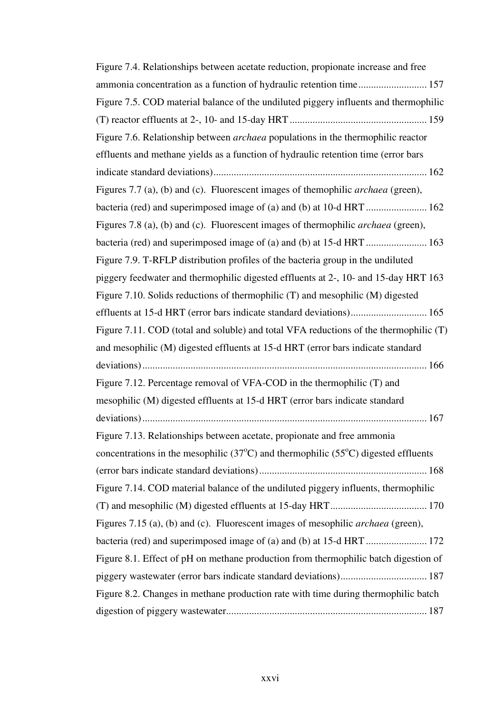| Figure 7.4. Relationships between acetate reduction, propionate increase and free                    |
|------------------------------------------------------------------------------------------------------|
| ammonia concentration as a function of hydraulic retention time 157                                  |
| Figure 7.5. COD material balance of the undiluted piggery influents and thermophilic                 |
|                                                                                                      |
| Figure 7.6. Relationship between <i>archaea</i> populations in the thermophilic reactor              |
| effluents and methane yields as a function of hydraulic retention time (error bars                   |
|                                                                                                      |
| Figures 7.7 (a), (b) and (c). Fluorescent images of themophilic <i>archaea</i> (green),              |
|                                                                                                      |
| Figures 7.8 (a), (b) and (c). Fluorescent images of thermophilic <i>archaea</i> (green),             |
|                                                                                                      |
| Figure 7.9. T-RFLP distribution profiles of the bacteria group in the undiluted                      |
| piggery feedwater and thermophilic digested effluents at 2-, 10- and 15-day HRT 163                  |
| Figure 7.10. Solids reductions of thermophilic (T) and mesophilic (M) digested                       |
| effluents at 15-d HRT (error bars indicate standard deviations) 165                                  |
| Figure 7.11. COD (total and soluble) and total VFA reductions of the thermophilic (T)                |
| and mesophilic (M) digested effluents at 15-d HRT (error bars indicate standard                      |
|                                                                                                      |
| Figure 7.12. Percentage removal of VFA-COD in the thermophilic (T) and                               |
| mesophilic (M) digested effluents at 15-d HRT (error bars indicate standard                          |
|                                                                                                      |
| Figure 7.13. Relationships between acetate, propionate and free ammonia                              |
| concentrations in the mesophilic $(37^{\circ}C)$ and thermophilic $(55^{\circ}C)$ digested effluents |
|                                                                                                      |
| Figure 7.14. COD material balance of the undiluted piggery influents, thermophilic                   |
|                                                                                                      |
| Figures 7.15 (a), (b) and (c). Fluorescent images of mesophilic <i>archaea</i> (green),              |
| bacteria (red) and superimposed image of (a) and (b) at 15-d HRT  172                                |
| Figure 8.1. Effect of pH on methane production from thermophilic batch digestion of                  |
| piggery wastewater (error bars indicate standard deviations) 187                                     |
| Figure 8.2. Changes in methane production rate with time during thermophilic batch                   |
|                                                                                                      |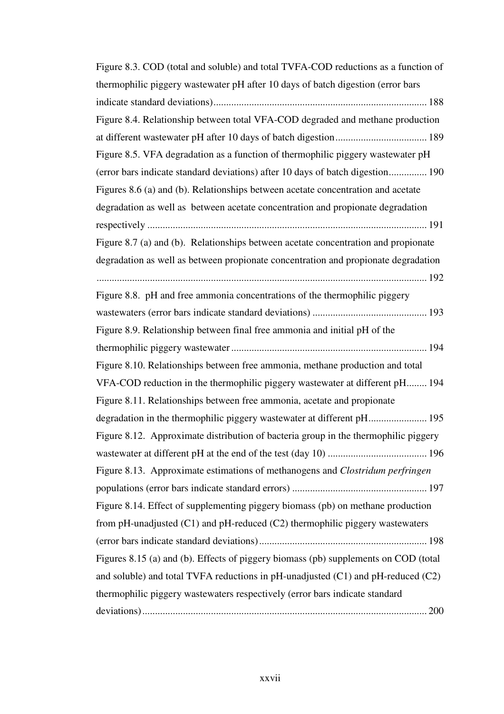| Figure 8.3. COD (total and soluble) and total TVFA-COD reductions as a function of         |
|--------------------------------------------------------------------------------------------|
| thermophilic piggery wastewater pH after 10 days of batch digestion (error bars            |
|                                                                                            |
| Figure 8.4. Relationship between total VFA-COD degraded and methane production             |
|                                                                                            |
| Figure 8.5. VFA degradation as a function of thermophilic piggery wastewater pH            |
| (error bars indicate standard deviations) after 10 days of batch digestion 190             |
| Figures 8.6 (a) and (b). Relationships between acetate concentration and acetate           |
| degradation as well as between acetate concentration and propionate degradation            |
|                                                                                            |
| Figure 8.7 (a) and (b). Relationships between acetate concentration and propionate         |
| degradation as well as between propionate concentration and propionate degradation         |
|                                                                                            |
| Figure 8.8. pH and free ammonia concentrations of the thermophilic piggery                 |
|                                                                                            |
| Figure 8.9. Relationship between final free ammonia and initial pH of the                  |
|                                                                                            |
|                                                                                            |
| Figure 8.10. Relationships between free ammonia, methane production and total              |
| VFA-COD reduction in the thermophilic piggery wastewater at different pH 194               |
| Figure 8.11. Relationships between free ammonia, acetate and propionate                    |
|                                                                                            |
| Figure 8.12. Approximate distribution of bacteria group in the thermophilic piggery        |
|                                                                                            |
| Figure 8.13. Approximate estimations of methanogens and Clostridum perfringen              |
|                                                                                            |
| Figure 8.14. Effect of supplementing piggery biomass (pb) on methane production            |
|                                                                                            |
| from pH-unadjusted (C1) and pH-reduced (C2) thermophilic piggery wastewaters               |
| Figures 8.15 (a) and (b). Effects of piggery biomass (pb) supplements on COD (total        |
| and soluble) and total TVFA reductions in $pH$ -unadjusted $(C1)$ and $pH$ -reduced $(C2)$ |
| thermophilic piggery wastewaters respectively (error bars indicate standard                |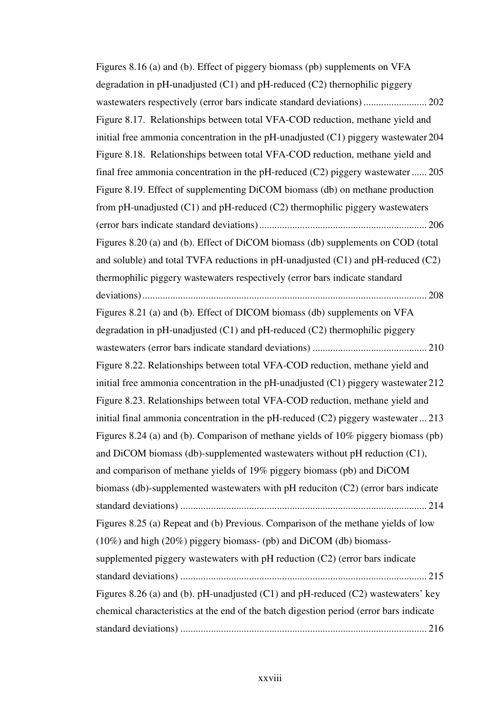Figures 8.16 (a) and (b). Effect of piggery biomass (pb) supplements on VFA degradation in pH-unadjusted (C1) and pH-reduced (C2) thernophilic piggery wastewaters respectively (error bars indicate standard deviations) ......................... 202 Figure 8.17. Relationships between total VFA-COD reduction, methane yield and initial free ammonia concentration in the pH-unadjusted (C1) piggery wastewater 204 Figure 8.18. Relationships between total VFA-COD reduction, methane yield and final free ammonia concentration in the pH-reduced (C2) piggery wastewater ...... 205 Figure 8.19. Effect of supplementing DiCOM biomass (db) on methane production from  $p$ H-unadjusted (C1) and  $p$ H-reduced (C2) thermophilic piggery wastewaters (error bars indicate standard deviations).................................................................. 206 Figures 8.20 (a) and (b). Effect of DiCOM biomass (db) supplements on COD (total and soluble) and total TVFA reductions in  $pH$ -unadjusted (C1) and  $pH$ -reduced (C2) thermophilic piggery wastewaters respectively (error bars indicate standard deviations)................................................................................................................ 208 Figures 8.21 (a) and (b). Effect of DICOM biomass (db) supplements on VFA degradation in pH-unadjusted  $(C1)$  and pH-reduced  $(C2)$  thermophilic piggery wastewaters (error bars indicate standard deviations) ............................................. 210 Figure 8.22. Relationships between total VFA-COD reduction, methane yield and initial free ammonia concentration in the pH-unadjusted  $(C1)$  piggery wastewater 212 Figure 8.23. Relationships between total VFA-COD reduction, methane yield and initial final ammonia concentration in the pH-reduced  $(C2)$  piggery wastewater... 213 Figures 8.24 (a) and (b). Comparison of methane yields of 10% piggery biomass (pb) and DiCOM biomass (db)-supplemented wastewaters without pH reduction (C1), and comparison of methane yields of 19% piggery biomass (pb) and DiCOM biomass (db)-supplemented wastewaters with pH reduciton (C2) (error bars indicate standard deviations) ................................................................................................. 214 Figures 8.25 (a) Repeat and (b) Previous. Comparison of the methane yields of low (10%) and high (20%) piggery biomass- (pb) and DiCOM (db) biomasssupplemented piggery wastewaters with pH reduction (C2) (error bars indicate standard deviations) ................................................................................................. 215 Figures 8.26 (a) and (b). pH-unadjusted (C1) and pH-reduced (C2) wastewaters' key chemical characteristics at the end of the batch digestion period (error bars indicate standard deviations) ................................................................................................. 216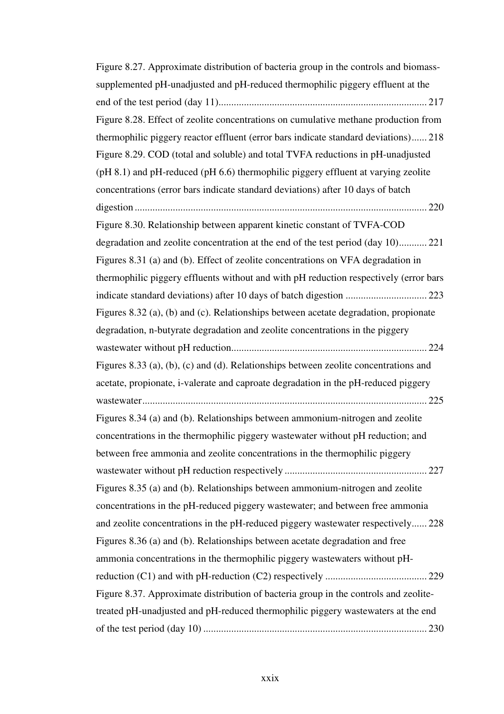| Figure 8.27. Approximate distribution of bacteria group in the controls and biomass-  |
|---------------------------------------------------------------------------------------|
| supplemented pH-unadjusted and pH-reduced thermophilic piggery effluent at the        |
|                                                                                       |
| Figure 8.28. Effect of zeolite concentrations on cumulative methane production from   |
| thermophilic piggery reactor effluent (error bars indicate standard deviations) 218   |
| Figure 8.29. COD (total and soluble) and total TVFA reductions in pH-unadjusted       |
| (pH 8.1) and pH-reduced (pH 6.6) thermophilic piggery effluent at varying zeolite     |
| concentrations (error bars indicate standard deviations) after 10 days of batch       |
|                                                                                       |
| Figure 8.30. Relationship between apparent kinetic constant of TVFA-COD               |
| degradation and zeolite concentration at the end of the test period (day 10) 221      |
| Figures 8.31 (a) and (b). Effect of zeolite concentrations on VFA degradation in      |
| thermophilic piggery effluents without and with pH reduction respectively (error bars |
| indicate standard deviations) after 10 days of batch digestion  223                   |
| Figures 8.32 (a), (b) and (c). Relationships between acetate degradation, propionate  |
| degradation, n-butyrate degradation and zeolite concentrations in the piggery         |
|                                                                                       |
| Figures 8.33 (a), (b), (c) and (d). Relationships between zeolite concentrations and  |
| acetate, propionate, i-valerate and caproate degradation in the pH-reduced piggery    |
|                                                                                       |
| Figures 8.34 (a) and (b). Relationships between ammonium-nitrogen and zeolite         |
| concentrations in the thermophilic piggery wastewater without pH reduction; and       |
| between free ammonia and zeolite concentrations in the thermophilic piggery           |
|                                                                                       |
| Figures 8.35 (a) and (b). Relationships between ammonium-nitrogen and zeolite         |
| concentrations in the pH-reduced piggery wastewater; and between free ammonia         |
| and zeolite concentrations in the pH-reduced piggery wastewater respectively 228      |
| Figures 8.36 (a) and (b). Relationships between acetate degradation and free          |
| ammonia concentrations in the thermophilic piggery wastewaters without pH-            |
|                                                                                       |
| Figure 8.37. Approximate distribution of bacteria group in the controls and zeolite-  |
| treated pH-unadjusted and pH-reduced thermophilic piggery wastewaters at the end      |
|                                                                                       |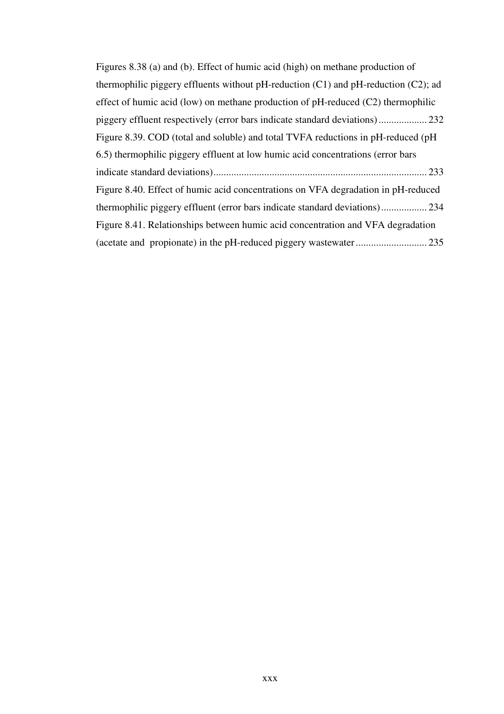| Figures 8.38 (a) and (b). Effect of humic acid (high) on methane production of          |
|-----------------------------------------------------------------------------------------|
| thermophilic piggery effluents without pH-reduction $(C1)$ and pH-reduction $(C2)$ ; ad |
| effect of humic acid (low) on methane production of $pH$ -reduced (C2) thermophilic     |
|                                                                                         |
| Figure 8.39. COD (total and soluble) and total TVFA reductions in pH-reduced (pH        |
| 6.5) thermophilic piggery effluent at low humic acid concentrations (error bars         |
| . 233                                                                                   |
| Figure 8.40. Effect of humic acid concentrations on VFA degradation in pH-reduced       |
|                                                                                         |
| Figure 8.41. Relationships between humic acid concentration and VFA degradation         |
|                                                                                         |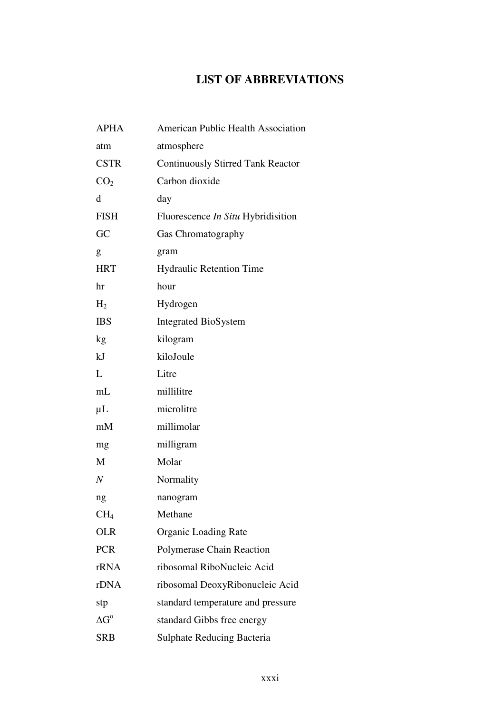## **LlST OF ABBREVIATIONS**

| <b>APHA</b>        | American Public Health Association        |
|--------------------|-------------------------------------------|
| atm                | atmosphere                                |
| <b>CSTR</b>        | <b>Continuously Stirred Tank Reactor</b>  |
| CO <sub>2</sub>    | Carbon dioxide                            |
| d                  | day                                       |
| <b>FISH</b>        | Fluorescence <i>In Situ</i> Hybridisition |
| GC                 | Gas Chromatography                        |
| g                  | gram                                      |
| <b>HRT</b>         | <b>Hydraulic Retention Time</b>           |
| hr                 | hour                                      |
| H <sub>2</sub>     | Hydrogen                                  |
| <b>IBS</b>         | <b>Integrated BioSystem</b>               |
| kg                 | kilogram                                  |
| kJ                 | kiloJoule                                 |
| L                  | Litre                                     |
| $\rm mL$           | millilitre                                |
| $\mu$ L            | microlitre                                |
| mM                 | millimolar                                |
| mg                 | milligram                                 |
| M                  | Molar                                     |
| $\,N$              | Normality                                 |
| ng                 | nanogram                                  |
| CH <sub>4</sub>    | Methane                                   |
| <b>OLR</b>         | <b>Organic Loading Rate</b>               |
| <b>PCR</b>         | <b>Polymerase Chain Reaction</b>          |
| rRNA               | ribosomal RiboNucleic Acid                |
| rDNA               | ribosomal DeoxyRibonucleic Acid           |
| stp                | standard temperature and pressure         |
| $\Delta G^{\rm o}$ | standard Gibbs free energy                |
| <b>SRB</b>         | <b>Sulphate Reducing Bacteria</b>         |